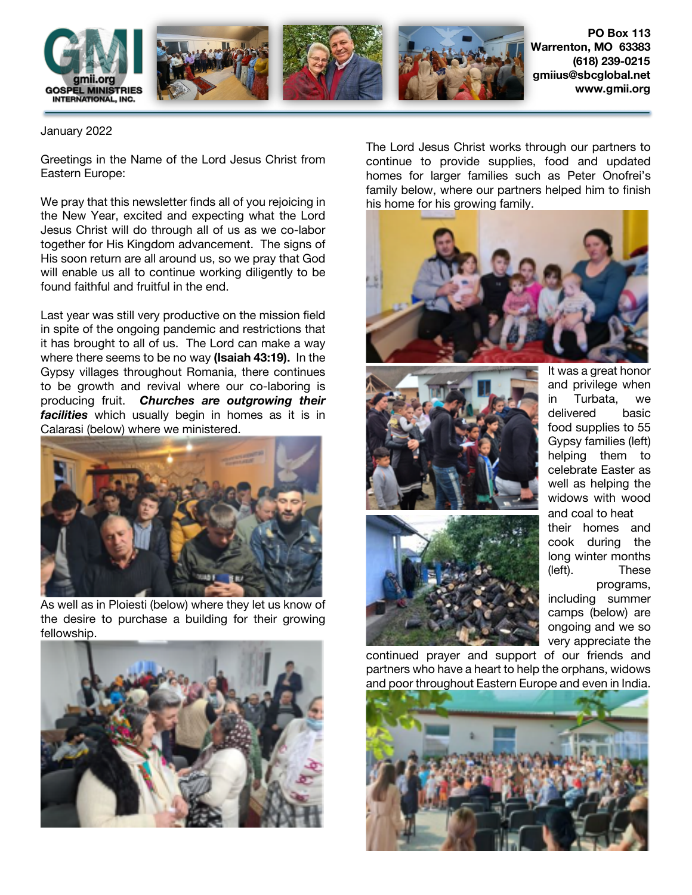

January 2022

Greetings in the Name of the Lord Jesus Christ from Eastern Europe:

We pray that this newsletter finds all of you rejoicing in the New Year, excited and expecting what the Lord Jesus Christ will do through all of us as we co-labor together for His Kingdom advancement. The signs of His soon return are all around us, so we pray that God will enable us all to continue working diligently to be found faithful and fruitful in the end.

Last year was still very productive on the mission field in spite of the ongoing pandemic and restrictions that it has brought to all of us. The Lord can make a way where there seems to be no way **(Isaiah 43:19).** In the Gypsy villages throughout Romania, there continues to be growth and revival where our co-laboring is producing fruit. *Churches are outgrowing their facilities* which usually begin in homes as it is in Calarasi (below) where we ministered.



As well as in Ploiesti (below) where they let us know of the desire to purchase a building for their growing fellowship.



The Lord Jesus Christ works through our partners to continue to provide supplies, food and updated homes for larger families such as Peter Onofrei's family below, where our partners helped him to finish his home for his growing family.







It was a great honor and privilege when in Turbata, we delivered basic food supplies to 55 Gypsy families (left) helping them to celebrate Easter as well as helping the widows with wood and coal to heat their homes and cook during the long winter months (left). These programs,

including summer camps (below) are ongoing and we so very appreciate the

continued prayer and support of our friends and partners who have a heart to help the orphans, widows and poor throughout Eastern Europe and even in India.